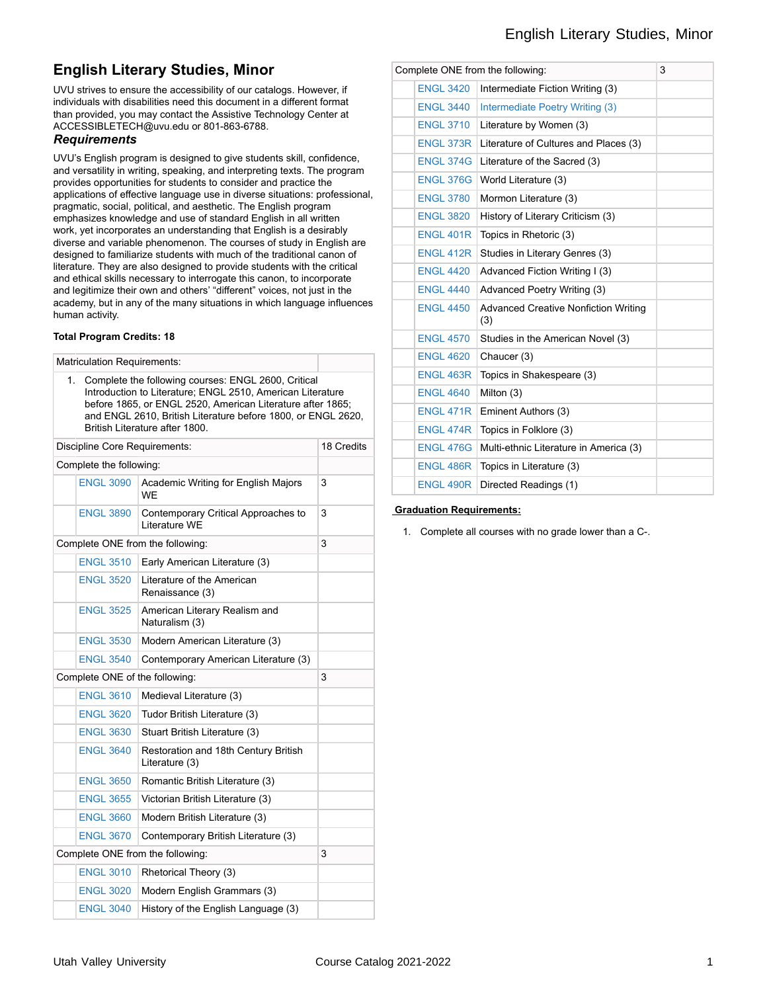# **English Literary Studies, Minor**

UVU strives to ensure the accessibility of our catalogs. However, if individuals with disabilities need this document in a different format than provided, you may contact the Assistive Technology Center at ACCESSIBLETECH@uvu.edu or 801-863-6788.

#### *Requirements*

UVU's English program is designed to give students skill, confidence, and versatility in writing, speaking, and interpreting texts. The program provides opportunities for students to consider and practice the applications of effective language use in diverse situations: professional, pragmatic, social, political, and aesthetic. The English program emphasizes knowledge and use of standard English in all written work, yet incorporates an understanding that English is a desirably diverse and variable phenomenon. The courses of study in English are designed to familiarize students with much of the traditional canon of literature. They are also designed to provide students with the critical and ethical skills necessary to interrogate this canon, to incorporate and legitimize their own and others' "different" voices, not just in the academy, but in any of the many situations in which language influences human activity.

#### **Total Program Credits: 18**

| <b>Matriculation Requirements:</b> |                                |                                                                                                                                                                                                                                                                                   |            |
|------------------------------------|--------------------------------|-----------------------------------------------------------------------------------------------------------------------------------------------------------------------------------------------------------------------------------------------------------------------------------|------------|
| 1.                                 |                                | Complete the following courses: ENGL 2600, Critical<br>Introduction to Literature; ENGL 2510, American Literature<br>before 1865, or ENGL 2520, American Literature after 1865;<br>and ENGL 2610, British Literature before 1800, or ENGL 2620,<br>British Literature after 1800. |            |
|                                    | Discipline Core Requirements:  |                                                                                                                                                                                                                                                                                   | 18 Credits |
|                                    | Complete the following:        |                                                                                                                                                                                                                                                                                   |            |
|                                    | <b>ENGL 3090</b>               | Academic Writing for English Majors<br><b>WF</b>                                                                                                                                                                                                                                  | 3          |
|                                    | <b>ENGL 3890</b>               | Contemporary Critical Approaches to<br>Literature WE                                                                                                                                                                                                                              | 3          |
|                                    |                                | Complete ONE from the following:                                                                                                                                                                                                                                                  | 3          |
|                                    | <b>ENGL 3510</b>               | Early American Literature (3)                                                                                                                                                                                                                                                     |            |
|                                    | <b>ENGL 3520</b>               | Literature of the American<br>Renaissance (3)                                                                                                                                                                                                                                     |            |
|                                    | <b>ENGL 3525</b>               | American Literary Realism and<br>Naturalism (3)                                                                                                                                                                                                                                   |            |
|                                    | <b>ENGL 3530</b>               | Modern American Literature (3)                                                                                                                                                                                                                                                    |            |
|                                    | <b>ENGL 3540</b>               | Contemporary American Literature (3)                                                                                                                                                                                                                                              |            |
|                                    | Complete ONE of the following: |                                                                                                                                                                                                                                                                                   |            |
|                                    | <b>ENGL 3610</b>               | Medieval Literature (3)                                                                                                                                                                                                                                                           |            |
|                                    | <b>ENGL 3620</b>               | Tudor British Literature (3)                                                                                                                                                                                                                                                      |            |
|                                    | <b>ENGL 3630</b>               | Stuart British Literature (3)                                                                                                                                                                                                                                                     |            |
|                                    | <b>ENGL 3640</b>               | Restoration and 18th Century British<br>Literature (3)                                                                                                                                                                                                                            |            |
|                                    | <b>ENGL 3650</b>               | Romantic British Literature (3)                                                                                                                                                                                                                                                   |            |
|                                    | <b>ENGL 3655</b>               | Victorian British Literature (3)                                                                                                                                                                                                                                                  |            |
|                                    | <b>ENGL 3660</b>               | Modern British Literature (3)                                                                                                                                                                                                                                                     |            |
|                                    | <b>ENGL 3670</b>               | Contemporary British Literature (3)                                                                                                                                                                                                                                               |            |
| Complete ONE from the following:   | 3                              |                                                                                                                                                                                                                                                                                   |            |
|                                    | <b>ENGL 3010</b>               | Rhetorical Theory (3)                                                                                                                                                                                                                                                             |            |
|                                    | <b>ENGL 3020</b>               | Modern English Grammars (3)                                                                                                                                                                                                                                                       |            |
|                                    | <b>ENGL 3040</b>               | History of the English Language (3)                                                                                                                                                                                                                                               |            |

| Complete ONE from the following:<br>3 |                                                    |  |  |  |  |
|---------------------------------------|----------------------------------------------------|--|--|--|--|
| <b>ENGL 3420</b>                      | Intermediate Fiction Writing (3)                   |  |  |  |  |
| <b>ENGL 3440</b>                      | Intermediate Poetry Writing (3)                    |  |  |  |  |
| <b>ENGL 3710</b>                      | Literature by Women (3)                            |  |  |  |  |
| <b>ENGL 373R</b>                      | Literature of Cultures and Places (3)              |  |  |  |  |
| <b>ENGL 374G</b>                      | Literature of the Sacred (3)                       |  |  |  |  |
| <b>ENGL 376G</b>                      | World Literature (3)                               |  |  |  |  |
| <b>ENGL 3780</b>                      | Mormon Literature (3)                              |  |  |  |  |
| <b>ENGL 3820</b>                      | History of Literary Criticism (3)                  |  |  |  |  |
| <b>ENGL 401R</b>                      | Topics in Rhetoric (3)                             |  |  |  |  |
| <b>ENGL 412R</b>                      | Studies in Literary Genres (3)                     |  |  |  |  |
| <b>ENGL 4420</b>                      | Advanced Fiction Writing I (3)                     |  |  |  |  |
| <b>ENGL 4440</b>                      | Advanced Poetry Writing (3)                        |  |  |  |  |
| <b>ENGL 4450</b>                      | <b>Advanced Creative Nonfiction Writing</b><br>(3) |  |  |  |  |
| <b>ENGL 4570</b>                      | Studies in the American Novel (3)                  |  |  |  |  |
| <b>ENGL 4620</b>                      | Chaucer (3)                                        |  |  |  |  |
| <b>ENGL 463R</b>                      | Topics in Shakespeare (3)                          |  |  |  |  |
| <b>ENGL 4640</b>                      | Milton (3)                                         |  |  |  |  |
| <b>ENGL 471R</b>                      | Eminent Authors (3)                                |  |  |  |  |
| ENGL 474R                             | Topics in Folklore (3)                             |  |  |  |  |
| <b>ENGL 476G</b>                      | Multi-ethnic Literature in America (3)             |  |  |  |  |
| <b>ENGL 486R</b>                      | Topics in Literature (3)                           |  |  |  |  |
| <b>ENGL 490R</b>                      | Directed Readings (1)                              |  |  |  |  |
|                                       |                                                    |  |  |  |  |

#### **Graduation Requirements:**

1. Complete all courses with no grade lower than a C-.